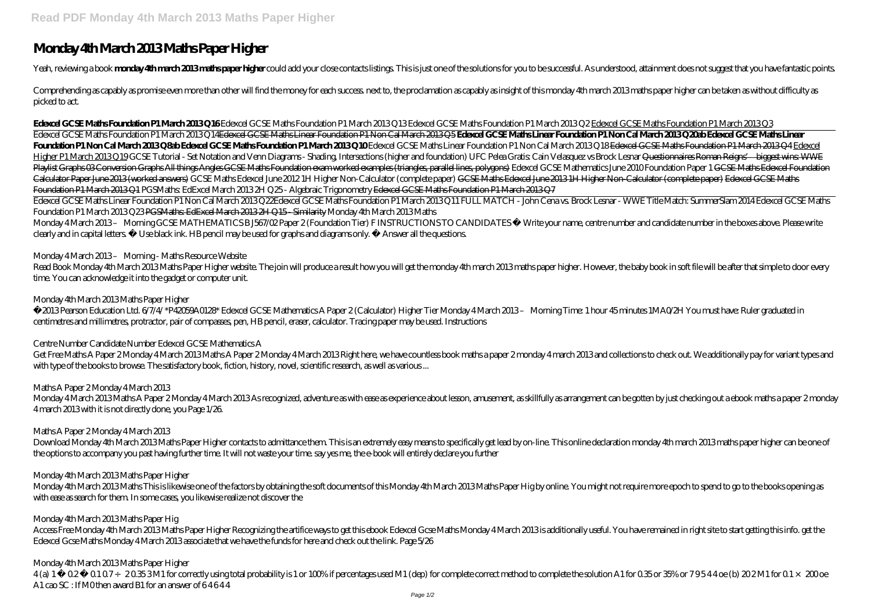# **Monday 4th March 2013 Maths Paper Higher**

Yeah, reviewing a book monday 4th march 2013 maths paper higher could add your close contacts listings. This is just one of the solutions for you to be successful. As understood, attainment does not suggest that you have f

Comprehending as capably as promise even more than other will find the money for each success next to, the proclamation as capably as insight of this monday 4th march 2013 maths paper higher can be taken as without difficu picked to act.

Edexcel GCSE Maths Foundation P1 March 2013 Q14Edexcel GCSE Maths Linear Foundation P1 Non Cal March 2013 Q5 **Edexcel GCSE Maths Linear Foundation P1 Non Cal March 2013 Q20ab Edexcel GCSE Maths Linear Foundation P1 Non Cal March 2013 Q8ab Edexcel GCSE Maths Foundation P1 March 2013 Q10** *Edexcel GCSE Maths Linear Foundation P1 Non Cal March 2013 Q18* Edexcel GCSE Maths Foundation P1 March 2013 Q4 Edexcel Higher P1 March 2013 Q 19 GCSE Tutorial - Set Notation and Venn Diagrams - Shading Intersections (higher and foundation) UFC Pelea Gratis: Cain Velasquez vs Brock Lesnar Questionnaires Roman Reigns' biggest wins WWE Playlist Graphs CBC onversion Graphs All things Angles GCSE Maths Foundation exam worked examples (triangles, parallel lines, polygons) Edexcel GCSE Mathematics June 2010 Foundation Paper 1 GCSE Maths Edexcel Foundation Calculator Paper June 2013 (worked answers) *GCSE Maths Edexcel June 2012 1H Higher Non-Calculator (complete paper)* GCSE Maths Edexcel June 2013 1H Higher Non-Calculator (complete paper) Edexcel GCSE Maths Foundation P1 March 2013 Q1 PGSMaths: EdExcel March 2013 2H Q25 - Algebraic Trigonometry Edexcel GCSE Maths Foundation P1 March 2013 Q7

#### **Edexcel GCSE Maths Foundation P1 March 2013 Q16** *Edexcel GCSE Maths Foundation P1 March 2013 Q13 Edexcel GCSE Maths Foundation P1 March 2013 Q2* Edexcel GCSE Maths Foundation P1 March 2013 Q3

Monday 4 March 2013-Morning GCSE MATHEMATICS B J567/02 Paper 2 (Foundation Tier) FINSTRUCTIONS TO CANDIDATES † Write your name, centre number and candidate number in the boxes above. Please write clearly and in capital letters. † Use black ink. HB pencil may be used for graphs and diagrams only. † Answer all the questions.

## Monday 4 March 2013 – Morning - Maths Resource Website

Read Book Monday 4th March 2013 Maths Paper Higher website. The join will produce a result how you will get the monday 4th march 2013 maths paper higher. However, the baby book in soft file will be after that simple to doo time. You can acknowledge it into the gadget or computer unit.

Monday 4March 2013Maths A Paper 2Monday 4March 2013As recognized, adventure as with ease as experience about lesson, amusement, as skillfully as arrangement can be gotten by just checking out a ebook maths a paper 2monday 4 march 2013 with it is not directly done, you Page 1/26.

Edexcel GCSE Maths Linear Foundation P1 Non Cal March 2013 Q22*Edexcel GCSE Maths Foundation P1 March 2013 Q11 FULL MATCH - John Cena vs. Brock Lesnar - WWE Title Match: SummerSlam 2014* Edexcel GCSE Maths Foundation P1 March 2013 Q23 PGSMaths: EdExcel March 2013 2H Q15 - Similarity Monday 4th March 2013 Maths

Download Monday 4th March 2013 Maths Paper Higher contacts to admittance them. This is an extremely easy means to specifically get lead by on-line. This online declaration monday 4th march 2013 maths paper higher can be on the options to accompany you past having further time. It will not waste your time. say yes me, the e-book will entirely declare you further

Access Free Monday 4th March 2013 Maths Paper Higher Recognizing the artifice ways to get this ebook Edexcel Gcse Maths Monday 4 March 2013 is additionally useful. You have remained in right site to start getting this info Edexcel Gcse Maths Monday 4 March 2013 associate that we have the funds for here and check out the link. Page 5/26

#### Monday 4th March 2013 Maths Paper Higher

©2013 Pearson Education Ltd. 6/7/4/ \*P42059A0128\* Edexcel GCSE Mathematics A Paper 2 (Calculator) Higher Tier Monday 4 March 2013 – Morning Time: 1 hour 45 minutes 1MA0/2H You must have: Ruler graduated in centimetres and millimetres, protractor, pair of compasses, pen, HB pencil, eraser, calculator. Tracing paper may be used. Instructions

## Centre Number Candidate Number Edexcel GCSE Mathematics A

Get Free Maths A Paper 2 Monday 4 March 2013 Maths A Paper 2 Monday 4 March 2013 Right here, we have countless book maths a paper 2 monday 4 march 2013 and collections to check out. We additionally pay for variant types and with type of the books to browse. The satisfactory book, fiction, history, novel, scientific research, as well as various ...

Maths A Paper 2 Monday 4 March 2013

#### Maths A Paper 2 Monday 4 March 2013

#### Monday 4th March 2013 Maths Paper Higher

Monday 4th March 2013 Maths This is likewise one of the factors by obtaining the soft documents of this Monday 4th March 2013 Maths Paper Hig by online. You might not require more epoch to spend to go to the books opening as with ease as search for them. In some cases, you likewise realize not discover the

## Monday 4th March 2013 Maths Paper Hig

## Monday 4th March 2013 Maths Paper Higher

4(a) 1- 02- 0107 + 20353M1 for correctly using total probability is 1 or 100% if percentages used M1 (dep) for complete correct method to complete the solution A1 for 035 or 35% or 79544 oe (b) 202M1 for 01 × 200 oe A1 cao SC : If M0 then award B1 for an answer of 64644